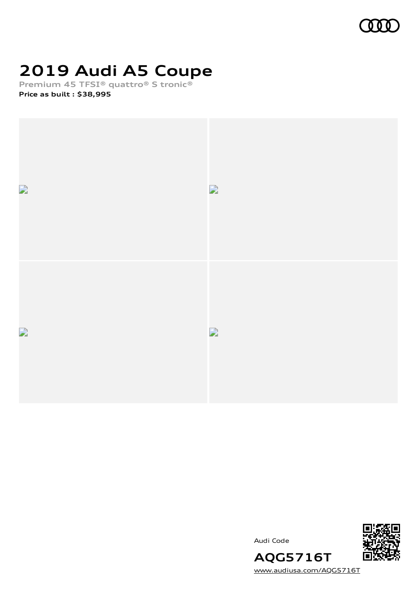

## **2019 Audi A5 Coupe**

**Premium 45 TFSI® quattro® S tronic®**

**Price as built [:](#page-10-0) \$38,995**



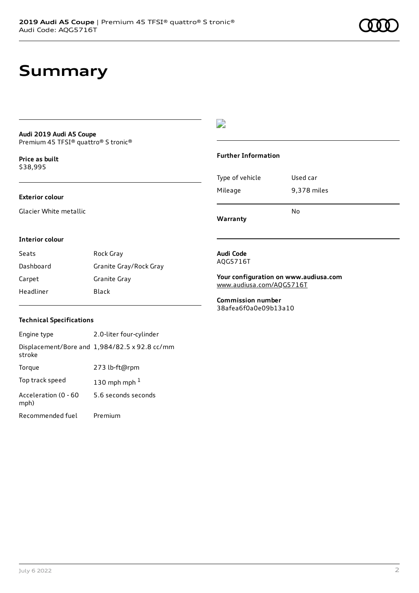### **Summary**

#### **Audi 2019 Audi A5 Coupe** Premium 45 TFSI® quattro® S tronic®

**Price as buil[t](#page-10-0)** \$38,995

### **Exterior colour**

Glacier White metallic

### $\overline{\phantom{a}}$

### **Further Information**

|                 | N٥          |
|-----------------|-------------|
| Mileage         | 9,378 miles |
| Type of vehicle | Used car    |

**Warranty**

#### **Interior colour**

| Seats     | Rock Gray              |
|-----------|------------------------|
| Dashboard | Granite Gray/Rock Gray |
| Carpet    | Granite Gray           |
| Headliner | Black                  |

#### **Audi Code** AQG5716T

**Your configuration on www.audiusa.com**

[www.audiusa.com/AQG5716T](https://www.audiusa.com/AQG5716T)

**Commission number** 38afea6f0a0e09b13a10

### **Technical Specifications**

| Engine type                  | 2.0-liter four-cylinder                       |
|------------------------------|-----------------------------------------------|
| stroke                       | Displacement/Bore and 1,984/82.5 x 92.8 cc/mm |
| Torque                       | 273 lb-ft@rpm                                 |
| Top track speed              | 130 mph mph $1$                               |
| Acceleration (0 - 60<br>mph) | 5.6 seconds seconds                           |
| Recommended fuel             | Premium                                       |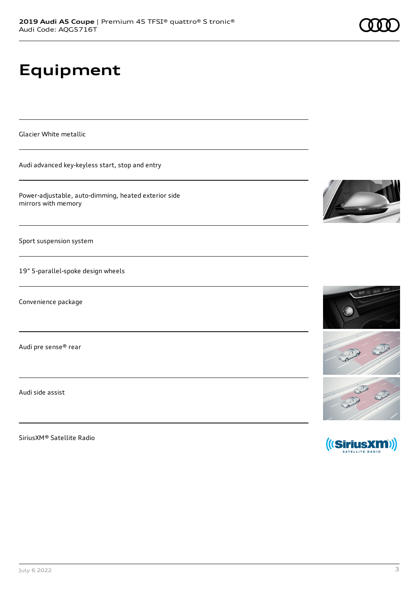# **Equipment**

Glacier White metallic

Audi advanced key-keyless start, stop and entry

Power-adjustable, auto-dimming, heated exterior side mirrors with memory

Sport suspension system

19" 5-parallel-spoke design wheels

Convenience package

Audi pre sense® rear

Audi side assist

SiriusXM® Satellite Radio







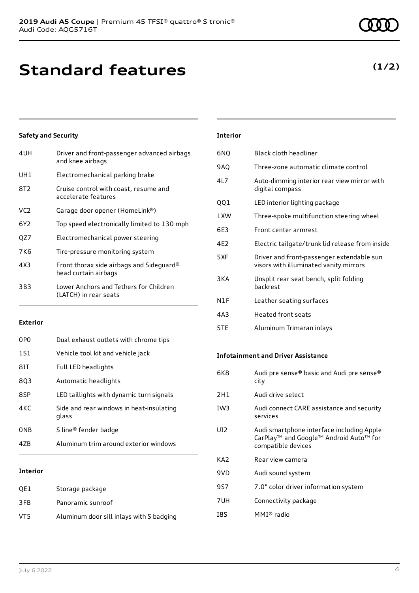### **Safety and Security**

| 4UH             | Driver and front-passenger advanced airbags<br>and knee airbags  |
|-----------------|------------------------------------------------------------------|
| UH1             | Electromechanical parking brake                                  |
| 8T2             | Cruise control with coast, resume and<br>accelerate features     |
| VC <sub>2</sub> | Garage door opener (HomeLink®)                                   |
| 6Y2             | Top speed electronically limited to 130 mph                      |
| QZ7             | Electromechanical power steering                                 |
| 7K6             | Tire-pressure monitoring system                                  |
| 4X3             | Front thorax side airbags and Sideguard®<br>head curtain airbags |
| 3B3             | Lower Anchors and Tethers for Children<br>(LATCH) in rear seats  |

#### **Exterior**

| 0PO             | Dual exhaust outlets with chrome tips             |
|-----------------|---------------------------------------------------|
| 1S1             | Vehicle tool kit and vehicle jack                 |
| 8IT             | <b>Full LED headlights</b>                        |
| 803             | Automatic headlights                              |
| 8SP             | LED taillights with dynamic turn signals          |
| 4KC             | Side and rear windows in heat-insulating<br>glass |
| 0 <sub>NB</sub> | S line® fender badge                              |
| 47B             | Aluminum trim around exterior windows             |

### **Interior**

| OE1 | Storage package                          |
|-----|------------------------------------------|
| 3FB | Panoramic sunroof                        |
| VT5 | Aluminum door sill inlays with S badging |

#### **Interior**

| 6NQ             | Black cloth headliner                                                               |
|-----------------|-------------------------------------------------------------------------------------|
| 9AQ             | Three-zone automatic climate control                                                |
| 417             | Auto-dimming interior rear view mirror with<br>digital compass                      |
| QQ1             | LED interior lighting package                                                       |
| 1 XW            | Three-spoke multifunction steering wheel                                            |
| 6E3             | Front center armrest                                                                |
| 4F <sub>2</sub> | Electric tailgate/trunk lid release from inside                                     |
| 5XF             | Driver and front-passenger extendable sun<br>visors with illuminated vanity mirrors |
| 3KA             | Unsplit rear seat bench, split folding<br>hackrest                                  |
| N1F             | Leather seating surfaces                                                            |
| 4A3             | <b>Heated front seats</b>                                                           |
| 5TE             | Aluminum Trimaran inlays                                                            |

#### **Infotainment and Driver Assistance**

| Audi pre sense® basic and Audi pre sense®<br>city                                                                     |
|-----------------------------------------------------------------------------------------------------------------------|
| Audi drive select                                                                                                     |
| Audi connect CARE assistance and security<br>services                                                                 |
| Audi smartphone interface including Apple<br>CarPlay <sup>™</sup> and Google™ Android Auto™ for<br>compatible devices |
| Rear view camera                                                                                                      |
| Audi sound system                                                                                                     |
| 7.0" color driver information system                                                                                  |
| Connectivity package                                                                                                  |
| MMI® radio                                                                                                            |
|                                                                                                                       |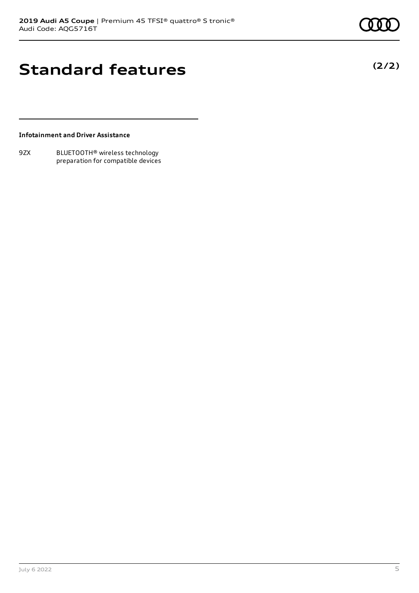**(2/2)**

### **Standard features**

**Infotainment and Driver Assistance**

9ZX BLUETOOTH® wireless technology preparation for compatible devices

July 6 2022 5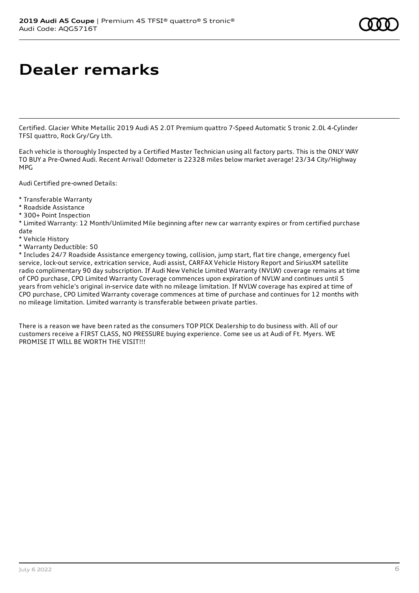### **Dealer remarks**

Certified. Glacier White Metallic 2019 Audi A5 2.0T Premium quattro 7-Speed Automatic S tronic 2.0L 4-Cylinder TFSI quattro, Rock Gry/Gry Lth.

Each vehicle is thoroughly Inspected by a Certified Master Technician using all factory parts. This is the ONLY WAY TO BUY a Pre-Owned Audi. Recent Arrival! Odometer is 22328 miles below market average! 23/34 City/Highway MPG

Audi Certified pre-owned Details:

- \* Transferable Warranty
- \* Roadside Assistance
- \* 300+ Point Inspection

\* Limited Warranty: 12 Month/Unlimited Mile beginning after new car warranty expires or from certified purchase date

- \* Vehicle History
- \* Warranty Deductible: \$0

\* Includes 24/7 Roadside Assistance emergency towing, collision, jump start, flat tire change, emergency fuel service, lock-out service, extrication service, Audi assist, CARFAX Vehicle History Report and SiriusXM satellite radio complimentary 90 day subscription. If Audi New Vehicle Limited Warranty (NVLW) coverage remains at time of CPO purchase, CPO Limited Warranty Coverage commences upon expiration of NVLW and continues until 5 years from vehicle's original in-service date with no mileage limitation. If NVLW coverage has expired at time of CPO purchase, CPO Limited Warranty coverage commences at time of purchase and continues for 12 months with no mileage limitation. Limited warranty is transferable between private parties.

There is a reason we have been rated as the consumers TOP PICK Dealership to do business with. All of our customers receive a FIRST CLASS, NO PRESSURE buying experience. Come see us at Audi of Ft. Myers. WE PROMISE IT WILL BE WORTH THE VISIT!!!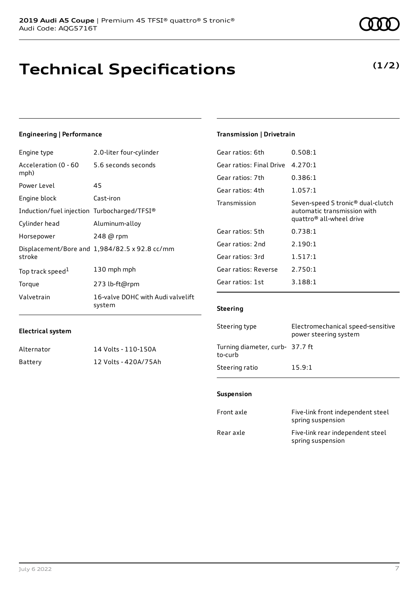## **Technical Specifications**

### **Engineering | Performance**

**Electrical system**

| Engine type                                 | 2.0-liter four-cylinder                       |
|---------------------------------------------|-----------------------------------------------|
| Acceleration (0 - 60<br>mph)                | 5.6 seconds seconds                           |
| Power Level                                 | 45                                            |
| Engine block                                | Cast-iron                                     |
| Induction/fuel injection Turbocharged/TFSI® |                                               |
| Cylinder head                               | Aluminum-alloy                                |
| Horsepower                                  | 248 @ rpm                                     |
| stroke                                      | Displacement/Bore and 1,984/82.5 x 92.8 cc/mm |
| Top track speed <sup>1</sup>                | 130 mph mph                                   |
| Torque                                      | 273 lb-ft@rpm                                 |
| Valvetrain                                  | 16-valve DOHC with Audi valvelift<br>system   |

Alternator 14 Volts - 110-150A Battery 12 Volts - 420A/75Ah

### **Transmission | Drivetrain**

| Gear ratios: 6th         | 0.508:1                                                                                                  |
|--------------------------|----------------------------------------------------------------------------------------------------------|
| Gear ratios: Final Drive | 4.270:1                                                                                                  |
| Gear ratios: 7th         | 0.386:1                                                                                                  |
| Gear ratios: 4th         | 1.057:1                                                                                                  |
| Transmission             | Seven-speed S tronic® dual-clutch<br>automatic transmission with<br>quattro <sup>®</sup> all-wheel drive |
| Gear ratios: 5th         | 0.738:1                                                                                                  |
| Gear ratios: 2nd         | 2.190:1                                                                                                  |
| Gear ratios: 3rd         | 1.517:1                                                                                                  |
| Gear ratios: Reverse     | 2.750:1                                                                                                  |
| Gear ratios: 1st         | 3.188:1                                                                                                  |
|                          |                                                                                                          |

### **Steering**

| Steering type                              | Electromechanical speed-sensitive<br>power steering system |
|--------------------------------------------|------------------------------------------------------------|
| Turning diameter, curb- 37.7 ft<br>to-curb |                                                            |
| Steering ratio                             | 15.9:1                                                     |

### **Suspension**

| Front axle | Five-link front independent steel<br>spring suspension |
|------------|--------------------------------------------------------|
| Rear axle  | Five-link rear independent steel<br>spring suspension  |

### **(1/2)**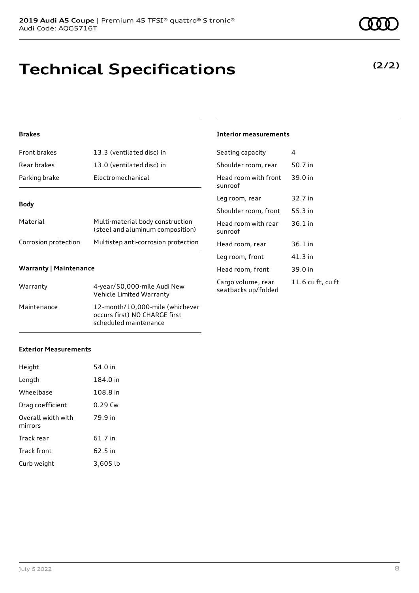# **Technical Specifications**

### **Brakes**

| <b>Front brakes</b>  | 13.3 (ventilated disc) in                                            |
|----------------------|----------------------------------------------------------------------|
| Rear brakes          | 13.0 (ventilated disc) in                                            |
| Parking brake        | Electromechanical                                                    |
|                      |                                                                      |
| <b>Body</b>          |                                                                      |
| Material             | Multi-material body construction<br>(steel and aluminum composition) |
| Corrosion protection | Multistep anti-corrosion protection                                  |
|                      |                                                                      |

### **Warranty | Maintenance**

| Warranty    | 4-year/50,000-mile Audi New<br>Vehicle Limited Warranty                                   |
|-------------|-------------------------------------------------------------------------------------------|
| Maintenance | 12-month/10,000-mile (whichever<br>occurs first) NO CHARGE first<br>scheduled maintenance |

### **Exterior Measurements**

| Height                        | 54.0 in   |
|-------------------------------|-----------|
| Length                        | 184.0 in  |
| Wheelbase                     | 108.8 in  |
| Drag coefficient              | $0.29$ Cw |
| Overall width with<br>mirrors | 79.9 in   |
| Track rear                    | 61.7 in   |
| Track front                   | $62.5$ in |
| Curb weight                   | 3.605 lb  |

**(2/2)**

### **Interior measurements**

| Seating capacity                          | 4                 |
|-------------------------------------------|-------------------|
| Shoulder room, rear                       | 50.7 in           |
| Head room with front<br>sunroof           | 39.0 in           |
| Leg room, rear                            | 32.7 in           |
| Shoulder room, front                      | 55.3 in           |
| Head room with rear<br>sunroof            | $36.1$ in         |
| Head room, rear                           | 36.1 in           |
| Leg room, front                           | 41.3 in           |
| Head room, front                          | 39.0 in           |
| Cargo volume, rear<br>seatbacks up/folded | 11.6 cu ft, cu ft |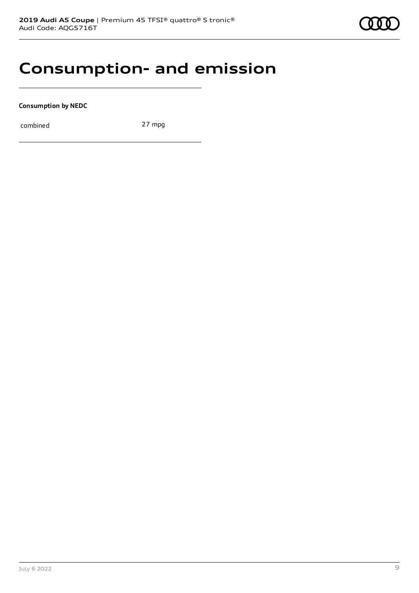

### **Consumption- and emission**

**Consumption by NEDC**

combined 27 mpg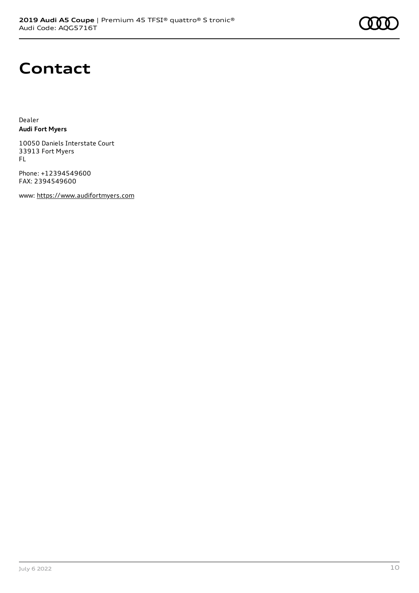

### **Contact**

Dealer **Audi Fort Myers**

10050 Daniels Interstate Court 33913 Fort Myers FL

Phone: +12394549600 FAX: 2394549600

www: [https://www.audifortmyers.com](https://www.audifortmyers.com/)